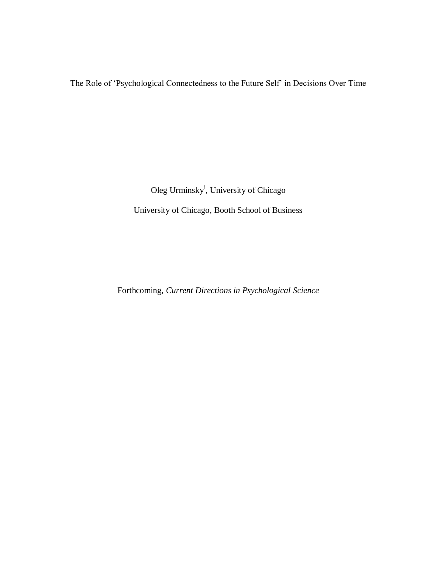The Role of 'Psychological Connectedness to the Future Self' in Decisions Over Time

Oleg Urminsky<sup>i</sup>, University of Chicago University of Chicago, Booth School of Business

Forthcoming, *Current Directions in Psychological Science*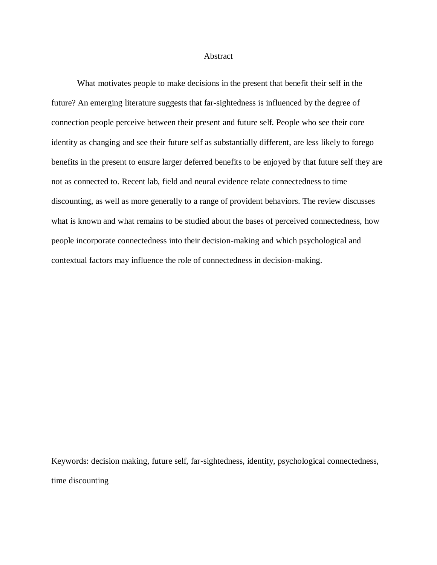## Abstract

What motivates people to make decisions in the present that benefit their self in the future? An emerging literature suggests that far-sightedness is influenced by the degree of connection people perceive between their present and future self. People who see their core identity as changing and see their future self as substantially different, are less likely to forego benefits in the present to ensure larger deferred benefits to be enjoyed by that future self they are not as connected to. Recent lab, field and neural evidence relate connectedness to time discounting, as well as more generally to a range of provident behaviors. The review discusses what is known and what remains to be studied about the bases of perceived connectedness, how people incorporate connectedness into their decision-making and which psychological and contextual factors may influence the role of connectedness in decision-making.

Keywords: decision making, future self, far-sightedness, identity, psychological connectedness, time discounting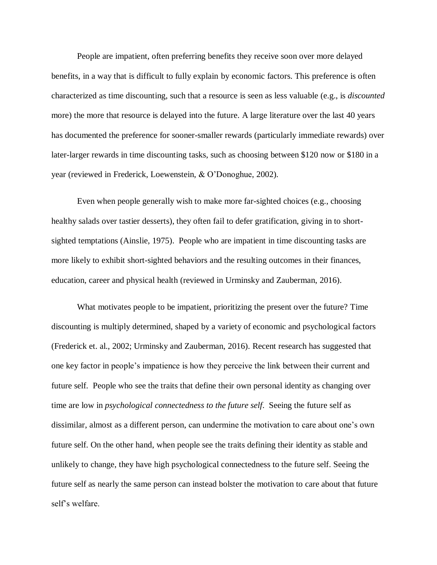People are impatient, often preferring benefits they receive soon over more delayed benefits, in a way that is difficult to fully explain by economic factors. This preference is often characterized as time discounting, such that a resource is seen as less valuable (e.g., is *discounted* more) the more that resource is delayed into the future. A large literature over the last 40 years has documented the preference for sooner-smaller rewards (particularly immediate rewards) over later-larger rewards in time discounting tasks, such as choosing between \$120 now or \$180 in a year (reviewed in Frederick, Loewenstein, & O'Donoghue, 2002).

Even when people generally wish to make more far-sighted choices (e.g., choosing healthy salads over tastier desserts), they often fail to defer gratification, giving in to shortsighted temptations (Ainslie, 1975). People who are impatient in time discounting tasks are more likely to exhibit short-sighted behaviors and the resulting outcomes in their finances, education, career and physical health (reviewed in Urminsky and Zauberman, 2016).

What motivates people to be impatient, prioritizing the present over the future? Time discounting is multiply determined, shaped by a variety of economic and psychological factors (Frederick et. al., 2002; Urminsky and Zauberman, 2016). Recent research has suggested that one key factor in people's impatience is how they perceive the link between their current and future self. People who see the traits that define their own personal identity as changing over time are low in *psychological connectedness to the future self*. Seeing the future self as dissimilar, almost as a different person, can undermine the motivation to care about one's own future self. On the other hand, when people see the traits defining their identity as stable and unlikely to change, they have high psychological connectedness to the future self. Seeing the future self as nearly the same person can instead bolster the motivation to care about that future self's welfare.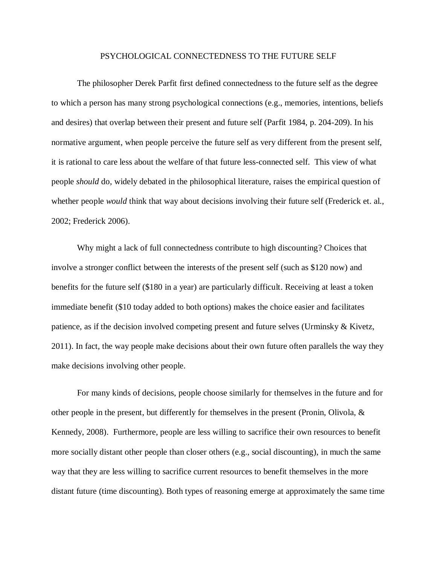## PSYCHOLOGICAL CONNECTEDNESS TO THE FUTURE SELF

The philosopher Derek Parfit first defined connectedness to the future self as the degree to which a person has many strong psychological connections (e.g., memories, intentions, beliefs and desires) that overlap between their present and future self (Parfit 1984, p. 204-209). In his normative argument, when people perceive the future self as very different from the present self, it is rational to care less about the welfare of that future less-connected self. This view of what people *should* do, widely debated in the philosophical literature, raises the empirical question of whether people *would* think that way about decisions involving their future self (Frederick et. al., 2002; Frederick 2006).

Why might a lack of full connectedness contribute to high discounting? Choices that involve a stronger conflict between the interests of the present self (such as \$120 now) and benefits for the future self (\$180 in a year) are particularly difficult. Receiving at least a token immediate benefit (\$10 today added to both options) makes the choice easier and facilitates patience, as if the decision involved competing present and future selves (Urminsky & Kivetz, 2011). In fact, the way people make decisions about their own future often parallels the way they make decisions involving other people.

For many kinds of decisions, people choose similarly for themselves in the future and for other people in the present, but differently for themselves in the present (Pronin, Olivola,  $\&$ Kennedy, 2008). Furthermore, people are less willing to sacrifice their own resources to benefit more socially distant other people than closer others (e.g., social discounting), in much the same way that they are less willing to sacrifice current resources to benefit themselves in the more distant future (time discounting). Both types of reasoning emerge at approximately the same time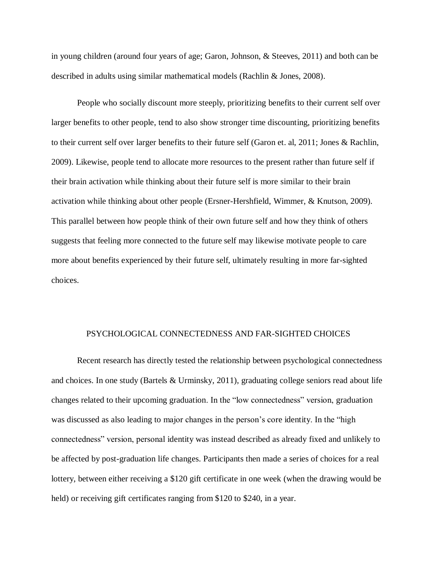in young children (around four years of age; Garon, Johnson, & Steeves, 2011) and both can be described in adults using similar mathematical models (Rachlin & Jones, 2008).

People who socially discount more steeply, prioritizing benefits to their current self over larger benefits to other people, tend to also show stronger time discounting, prioritizing benefits to their current self over larger benefits to their future self (Garon et. al, 2011; Jones & Rachlin, 2009). Likewise, people tend to allocate more resources to the present rather than future self if their brain activation while thinking about their future self is more similar to their brain activation while thinking about other people (Ersner-Hershfield, Wimmer, & Knutson, 2009). This parallel between how people think of their own future self and how they think of others suggests that feeling more connected to the future self may likewise motivate people to care more about benefits experienced by their future self, ultimately resulting in more far-sighted choices.

## PSYCHOLOGICAL CONNECTEDNESS AND FAR-SIGHTED CHOICES

Recent research has directly tested the relationship between psychological connectedness and choices. In one study (Bartels & Urminsky, 2011), graduating college seniors read about life changes related to their upcoming graduation. In the "low connectedness" version, graduation was discussed as also leading to major changes in the person's core identity. In the "high connectedness" version, personal identity was instead described as already fixed and unlikely to be affected by post-graduation life changes. Participants then made a series of choices for a real lottery, between either receiving a \$120 gift certificate in one week (when the drawing would be held) or receiving gift certificates ranging from \$120 to \$240, in a year.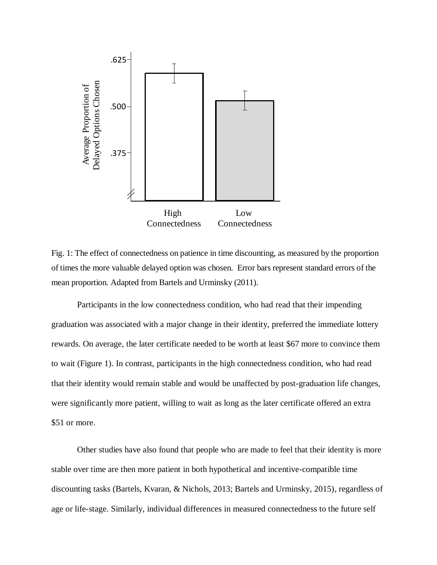

Fig. 1: The effect of connectedness on patience in time discounting, as measured by the proportion of times the more valuable delayed option was chosen. Error bars represent standard errors of the mean proportion. Adapted from Bartels and Urminsky (2011).

Participants in the low connectedness condition, who had read that their impending graduation was associated with a major change in their identity, preferred the immediate lottery rewards. On average, the later certificate needed to be worth at least \$67 more to convince them to wait (Figure 1). In contrast, participants in the high connectedness condition, who had read that their identity would remain stable and would be unaffected by post-graduation life changes, were significantly more patient, willing to wait as long as the later certificate offered an extra \$51 or more.

Other studies have also found that people who are made to feel that their identity is more stable over time are then more patient in both hypothetical and incentive-compatible time discounting tasks (Bartels, Kvaran, & Nichols, 2013; Bartels and Urminsky, 2015), regardless of age or life-stage. Similarly, individual differences in measured connectedness to the future self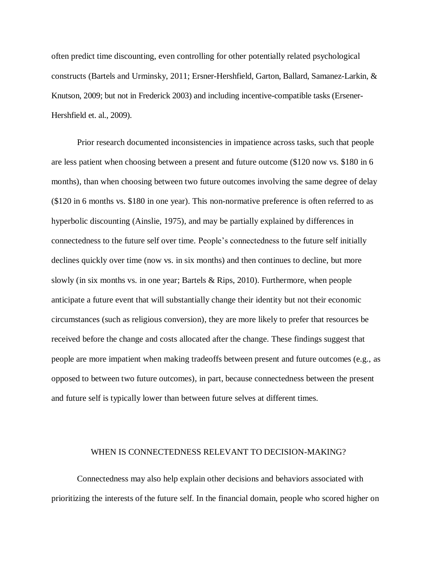often predict time discounting, even controlling for other potentially related psychological constructs (Bartels and Urminsky, 2011; Ersner-Hershfield, Garton, Ballard, Samanez-Larkin, & Knutson, 2009; but not in Frederick 2003) and including incentive-compatible tasks (Ersener-Hershfield et. al., 2009).

Prior research documented inconsistencies in impatience across tasks, such that people are less patient when choosing between a present and future outcome (\$120 now vs. \$180 in 6 months), than when choosing between two future outcomes involving the same degree of delay (\$120 in 6 months vs. \$180 in one year). This non-normative preference is often referred to as hyperbolic discounting (Ainslie, 1975), and may be partially explained by differences in connectedness to the future self over time. People's connectedness to the future self initially declines quickly over time (now vs. in six months) and then continues to decline, but more slowly (in six months vs. in one year; Bartels  $\&$  Rips, 2010). Furthermore, when people anticipate a future event that will substantially change their identity but not their economic circumstances (such as religious conversion), they are more likely to prefer that resources be received before the change and costs allocated after the change. These findings suggest that people are more impatient when making tradeoffs between present and future outcomes (e.g., as opposed to between two future outcomes), in part, because connectedness between the present and future self is typically lower than between future selves at different times.

## WHEN IS CONNECTEDNESS RELEVANT TO DECISION-MAKING?

Connectedness may also help explain other decisions and behaviors associated with prioritizing the interests of the future self. In the financial domain, people who scored higher on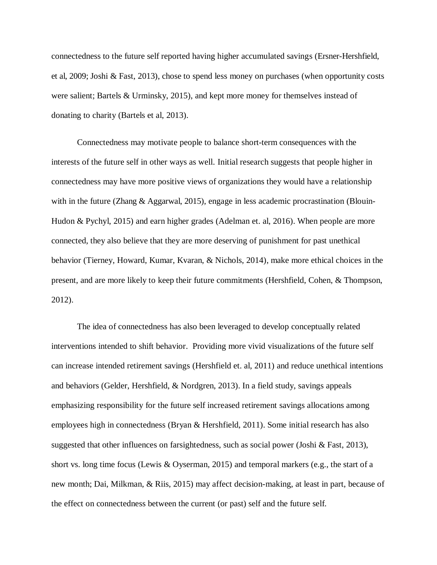connectedness to the future self reported having higher accumulated savings (Ersner-Hershfield, et al, 2009; Joshi & Fast, 2013), chose to spend less money on purchases (when opportunity costs were salient; Bartels & Urminsky, 2015), and kept more money for themselves instead of donating to charity (Bartels et al, 2013).

Connectedness may motivate people to balance short-term consequences with the interests of the future self in other ways as well. Initial research suggests that people higher in connectedness may have more positive views of organizations they would have a relationship with in the future (Zhang & Aggarwal, 2015), engage in less academic procrastination (Blouin-Hudon & Pychyl, 2015) and earn higher grades (Adelman et. al, 2016). When people are more connected, they also believe that they are more deserving of punishment for past unethical behavior (Tierney, Howard, Kumar, Kvaran, & Nichols, 2014), make more ethical choices in the present, and are more likely to keep their future commitments (Hershfield, Cohen, & Thompson, 2012).

The idea of connectedness has also been leveraged to develop conceptually related interventions intended to shift behavior. Providing more vivid visualizations of the future self can increase intended retirement savings (Hershfield et. al, 2011) and reduce unethical intentions and behaviors (Gelder, Hershfield, & Nordgren, 2013). In a field study, savings appeals emphasizing responsibility for the future self increased retirement savings allocations among employees high in connectedness (Bryan & Hershfield, 2011). Some initial research has also suggested that other influences on farsightedness, such as social power (Joshi & Fast, 2013), short vs. long time focus (Lewis & Oyserman, 2015) and temporal markers (e.g., the start of a new month; Dai, Milkman, & Riis, 2015) may affect decision-making, at least in part, because of the effect on connectedness between the current (or past) self and the future self.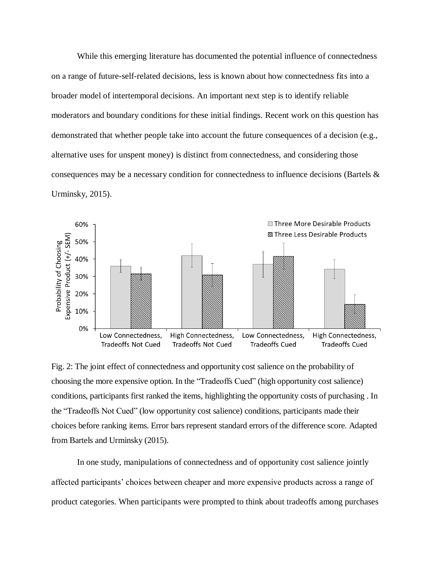While this emerging literature has documented the potential influence of connectedness on a range of future-self-related decisions, less is known about how connectedness fits into a broader model of intertemporal decisions. An important next step is to identify reliable moderators and boundary conditions for these initial findings. Recent work on this question has demonstrated that whether people take into account the future consequences of a decision (e.g., alternative uses for unspent money) is distinct from connectedness, and considering those consequences may be a necessary condition for connectedness to influence decisions (Bartels  $\&$ Urminsky, 2015).



Fig. 2: The joint effect of connectedness and opportunity cost salience on the probability of choosing the more expensive option. In the "Tradeoffs Cued" (high opportunity cost salience) conditions, participants first ranked the items, highlighting the opportunity costs of purchasing . In the "Tradeoffs Not Cued" (low opportunity cost salience) conditions, participants made their choices before ranking items. Error bars represent standard errors of the difference score. Adapted from Bartels and Urminsky (2015).

In one study, manipulations of connectedness and of opportunity cost salience jointly affected participants' choices between cheaper and more expensive products across a range of product categories. When participants were prompted to think about tradeoffs among purchases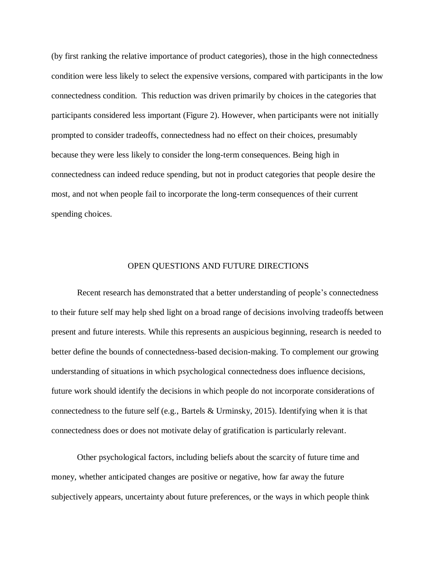(by first ranking the relative importance of product categories), those in the high connectedness condition were less likely to select the expensive versions, compared with participants in the low connectedness condition. This reduction was driven primarily by choices in the categories that participants considered less important (Figure 2). However, when participants were not initially prompted to consider tradeoffs, connectedness had no effect on their choices, presumably because they were less likely to consider the long-term consequences. Being high in connectedness can indeed reduce spending, but not in product categories that people desire the most, and not when people fail to incorporate the long-term consequences of their current spending choices.

#### OPEN QUESTIONS AND FUTURE DIRECTIONS

Recent research has demonstrated that a better understanding of people's connectedness to their future self may help shed light on a broad range of decisions involving tradeoffs between present and future interests. While this represents an auspicious beginning, research is needed to better define the bounds of connectedness-based decision-making. To complement our growing understanding of situations in which psychological connectedness does influence decisions, future work should identify the decisions in which people do not incorporate considerations of connectedness to the future self (e.g., Bartels & Urminsky, 2015). Identifying when it is that connectedness does or does not motivate delay of gratification is particularly relevant.

Other psychological factors, including beliefs about the scarcity of future time and money, whether anticipated changes are positive or negative, how far away the future subjectively appears, uncertainty about future preferences, or the ways in which people think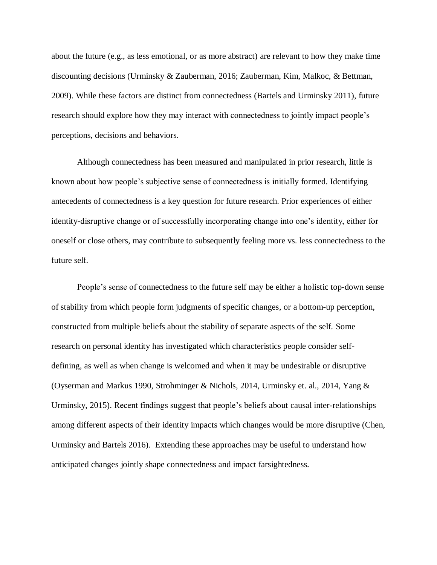about the future (e.g., as less emotional, or as more abstract) are relevant to how they make time discounting decisions (Urminsky & Zauberman, 2016; Zauberman, Kim, Malkoc, & Bettman, 2009). While these factors are distinct from connectedness (Bartels and Urminsky 2011), future research should explore how they may interact with connectedness to jointly impact people's perceptions, decisions and behaviors.

Although connectedness has been measured and manipulated in prior research, little is known about how people's subjective sense of connectedness is initially formed. Identifying antecedents of connectedness is a key question for future research. Prior experiences of either identity-disruptive change or of successfully incorporating change into one's identity, either for oneself or close others, may contribute to subsequently feeling more vs. less connectedness to the future self.

People's sense of connectedness to the future self may be either a holistic top-down sense of stability from which people form judgments of specific changes, or a bottom-up perception, constructed from multiple beliefs about the stability of separate aspects of the self. Some research on personal identity has investigated which characteristics people consider selfdefining, as well as when change is welcomed and when it may be undesirable or disruptive (Oyserman and Markus 1990, Strohminger & Nichols, 2014, Urminsky et. al., 2014, Yang & Urminsky, 2015). Recent findings suggest that people's beliefs about causal inter-relationships among different aspects of their identity impacts which changes would be more disruptive (Chen, Urminsky and Bartels 2016). Extending these approaches may be useful to understand how anticipated changes jointly shape connectedness and impact farsightedness.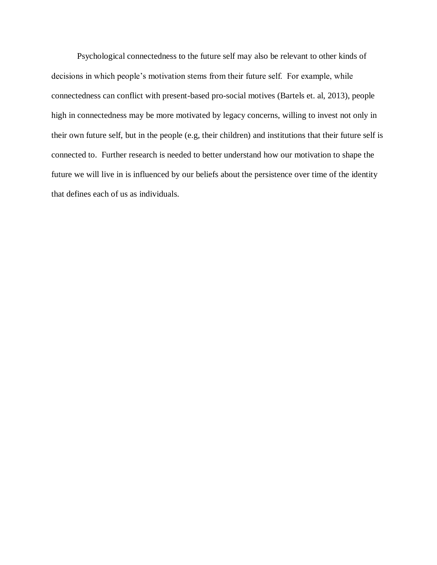Psychological connectedness to the future self may also be relevant to other kinds of decisions in which people's motivation stems from their future self. For example, while connectedness can conflict with present-based pro-social motives (Bartels et. al, 2013), people high in connectedness may be more motivated by legacy concerns, willing to invest not only in their own future self, but in the people (e.g, their children) and institutions that their future self is connected to. Further research is needed to better understand how our motivation to shape the future we will live in is influenced by our beliefs about the persistence over time of the identity that defines each of us as individuals.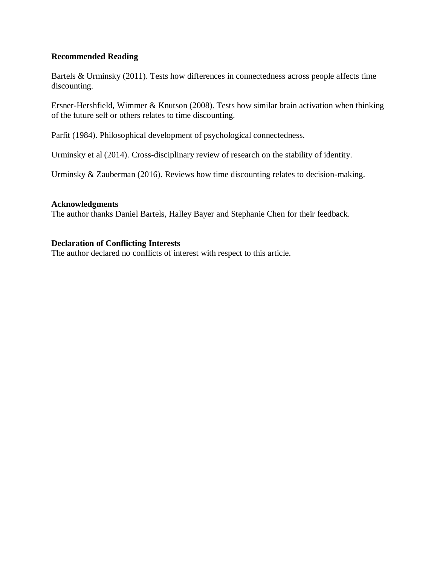# **Recommended Reading**

Bartels & Urminsky (2011). Tests how differences in connectedness across people affects time discounting.

Ersner-Hershfield, Wimmer & Knutson (2008). Tests how similar brain activation when thinking of the future self or others relates to time discounting.

Parfit (1984). Philosophical development of psychological connectedness.

Urminsky et al (2014). Cross-disciplinary review of research on the stability of identity.

Urminsky & Zauberman (2016). Reviews how time discounting relates to decision-making.

## **Acknowledgments**

The author thanks Daniel Bartels, Halley Bayer and Stephanie Chen for their feedback.

# **Declaration of Conflicting Interests**

The author declared no conflicts of interest with respect to this article.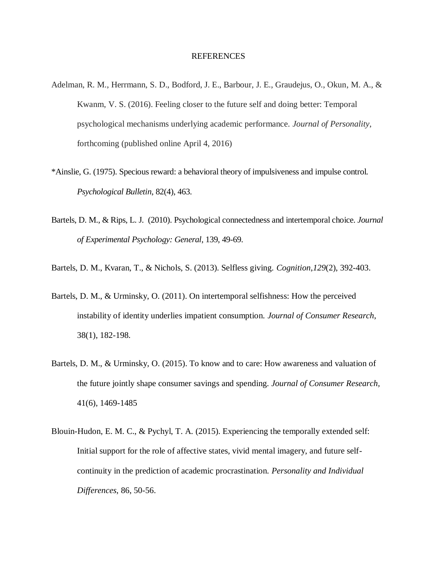#### REFERENCES

- Adelman, R. M., Herrmann, S. D., Bodford, J. E., Barbour, J. E., Graudejus, O., Okun, M. A., & Kwanm, V. S. (2016). Feeling closer to the future self and doing better: Temporal psychological mechanisms underlying academic performance. *Journal of Personality*, forthcoming (published online April 4, 2016)
- \*Ainslie, G. (1975). Specious reward: a behavioral theory of impulsiveness and impulse control. *Psychological Bulletin*, 82(4), 463.
- Bartels, D. M., & Rips, L. J. (2010). Psychological connectedness and intertemporal choice. *Journal of Experimental Psychology: General*, 139, 49-69.
- Bartels, D. M., Kvaran, T., & Nichols, S. (2013). Selfless giving. *Cognition*,*129*(2), 392-403.
- Bartels, D. M., & Urminsky, O. (2011). On intertemporal selfishness: How the perceived instability of identity underlies impatient consumption. *Journal of Consumer Research*, 38(1), 182-198.
- Bartels, D. M., & Urminsky, O. (2015). To know and to care: How awareness and valuation of the future jointly shape consumer savings and spending. *Journal of Consumer Research,* 41(6), 1469-1485
- Blouin-Hudon, E. M. C., & Pychyl, T. A. (2015). Experiencing the temporally extended self: Initial support for the role of affective states, vivid mental imagery, and future selfcontinuity in the prediction of academic procrastination. *Personality and Individual Differences*, 86, 50-56.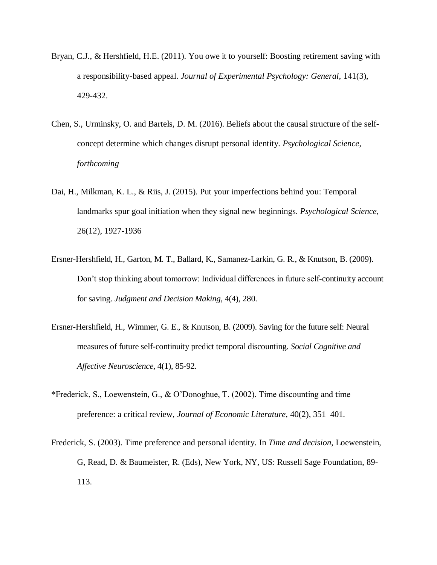- Bryan, C.J., & Hershfield, H.E. (2011). You owe it to yourself: Boosting retirement saving with a responsibility-based appeal. *Journal of Experimental Psychology: General,* 141(3), 429-432.
- Chen, S., Urminsky, O. and Bartels, D. M. (2016). Beliefs about the causal structure of the selfconcept determine which changes disrupt personal identity. *Psychological Science*, *forthcoming*
- Dai, H., Milkman, K. L., & Riis, J. (2015). Put your imperfections behind you: Temporal landmarks spur goal initiation when they signal new beginnings. *Psychological Science,* 26(12), 1927-1936
- Ersner-Hershfield, H., Garton, M. T., Ballard, K., Samanez-Larkin, G. R., & Knutson, B. (2009). Don't stop thinking about tomorrow: Individual differences in future self-continuity account for saving. *Judgment and Decision Making*, 4(4), 280.
- Ersner-Hershfield, H., Wimmer, G. E., & Knutson, B. (2009). Saving for the future self: Neural measures of future self-continuity predict temporal discounting. *Social Cognitive and Affective Neuroscience*, 4(1), 85-92.
- \*Frederick, S., Loewenstein, G., & O'Donoghue, T. (2002). Time discounting and time preference: a critical review, *Journal of Economic Literature*, 40(2), 351–401.
- Frederick, S. (2003). Time preference and personal identity. In *Time and decision*, Loewenstein, G, Read, D. & Baumeister, R. (Eds), New York, NY, US: Russell Sage Foundation, 89- 113.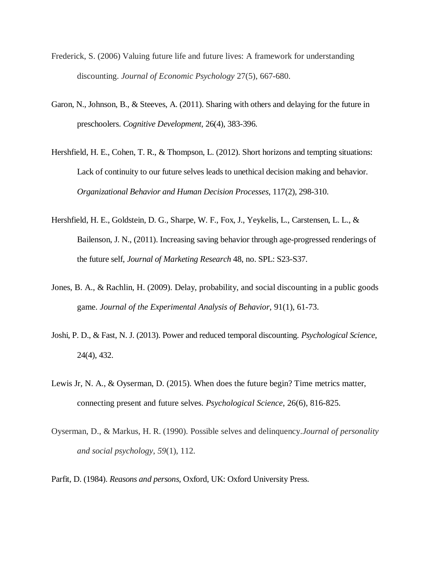- Frederick, S. (2006) Valuing future life and future lives: A framework for understanding discounting. *Journal of Economic Psychology* 27(5), 667-680.
- Garon, N., Johnson, B., & Steeves, A. (2011). Sharing with others and delaying for the future in preschoolers. *Cognitive Development*, 26(4), 383-396.
- Hershfield, H. E., Cohen, T. R., & Thompson, L. (2012). Short horizons and tempting situations: Lack of continuity to our future selves leads to unethical decision making and behavior. *Organizational Behavior and Human Decision Processes*, 117(2), 298-310.
- Hershfield, H. E., Goldstein, D. G., Sharpe, W. F., Fox, J., Yeykelis, L., Carstensen, L. L., & Bailenson, J. N., (2011). Increasing saving behavior through age-progressed renderings of the future self, *Journal of Marketing Research* 48, no. SPL: S23-S37.
- Jones, B. A., & Rachlin, H. (2009). Delay, probability, and social discounting in a public goods game. *Journal of the Experimental Analysis of Behavior*, 91(1), 61-73.
- Joshi, P. D., & Fast, N. J. (2013). Power and reduced temporal discounting. *Psychological Science*, 24(4), 432.
- Lewis Jr, N. A., & Oyserman, D. (2015). When does the future begin? Time metrics matter, connecting present and future selves. *Psychological Science*, 26(6), 816-825.
- Oyserman, D., & Markus, H. R. (1990). Possible selves and delinquency.*Journal of personality and social psychology*, *59*(1), 112.
- Parfit, D. (1984). *Reasons and persons*, Oxford, UK: Oxford University Press.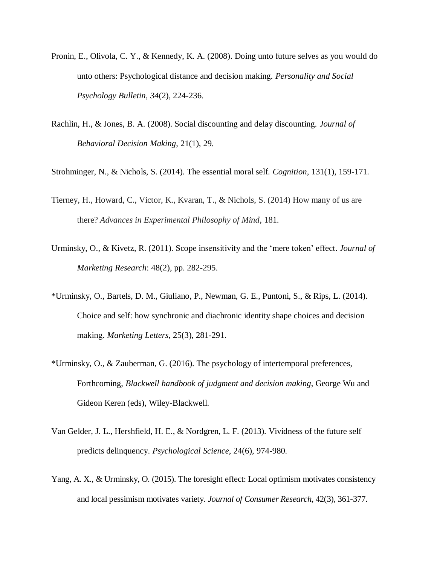- Pronin, E., Olivola, C. Y., & Kennedy, K. A. (2008). Doing unto future selves as you would do unto others: Psychological distance and decision making. *Personality and Social Psychology Bulletin*, *34*(2), 224-236.
- Rachlin, H., & Jones, B. A. (2008). Social discounting and delay discounting. *Journal of Behavioral Decision Making*, 21(1), 29.

Strohminger, N., & Nichols, S. (2014). The essential moral self. *Cognition*, 131(1), 159-171.

- Tierney, H., Howard, C., Victor, K., Kvaran, T., & Nichols, S. (2014) How many of us are there? *Advances in Experimental Philosophy of Mind*, 181.
- Urminsky, O., & Kivetz, R. (2011). Scope insensitivity and the 'mere token' effect. *Journal of Marketing Research*: 48(2), pp. 282-295.
- \*Urminsky, O., Bartels, D. M., Giuliano, P., Newman, G. E., Puntoni, S., & Rips, L. (2014). Choice and self: how synchronic and diachronic identity shape choices and decision making. *Marketing Letters*, 25(3), 281-291.
- \*Urminsky, O., & Zauberman, G. (2016). The psychology of intertemporal preferences, Forthcoming, *Blackwell handbook of judgment and decision making*, George Wu and Gideon Keren (eds), Wiley-Blackwell.
- Van Gelder, J. L., Hershfield, H. E., & Nordgren, L. F. (2013). Vividness of the future self predicts delinquency. *Psychological Science*, 24(6), 974-980.
- Yang, A. X., & Urminsky, O. (2015). The foresight effect: Local optimism motivates consistency and local pessimism motivates variety. *Journal of Consumer Research*, 42(3), 361-377.